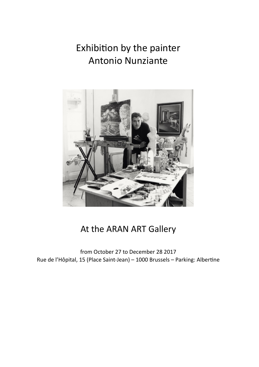# Exhibition by the painter **Antonio Nunziante**



## At the ARAN ART Gallery

from October 27 to December 28 2017 Rue de l'Hôpital, 15 (Place Saint-Jean) - 1000 Brussels - Parking: Albertine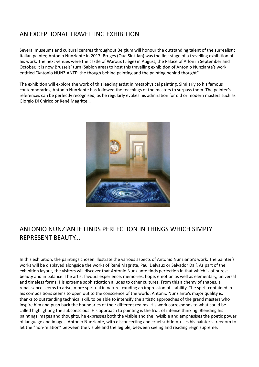### AN EXCEPTIONAL TRAVELLING EXHIBITION

Several museums and cultural centres throughout Belgium will honour the outstanding talent of the surrealistic Italian painter, Antonio Nunziante in 2017. Bruges (Oud Sint-Jan) was the first stage of a travelling exhibition of his work. The next venues were the castle of Waroux (Liège) in August, the Palace of Arlon in September and October. It is now Brussels' turn (Sablon area) to host this travelling exhibition of Antonio Nunziante's work, entitled "Antonio NUNZIANTE: the though behind painting and the painting behind thought"

The exhibition will explore the work of this leading artist in metaphysical painting. Similarly to his famous contemporaries, Antonio Nunziante has followed the teachings of the masters to surpass them. The painter's references can be perfectly recognised, as he regularly evokes his admiration for old or modern masters such as Giorgio Di Chirico or René Magritte...



#### ANTONIO NUNZIANTE FINDS PERFECTION IN THINGS WHICH SIMPLY REPRESENT BEAUTY...

In this exhibition, the paintings chosen illustrate the various aspects of Antonio Nunziante's work. The painter's works will be displayed alongside the works of René Magritte, Paul Delvaux or Salvador Dalí. As part of the exhibition layout, the visitors will discover that Antonio Nunziante finds perfection in that which is of purest beauty and in balance. The artist favours experience, memories, hope, emotion as well as elementary, universal and timeless forms. His extreme sophistication alludes to other cultures. From this alchemy of shapes, a renaissance seems to arise, more spiritual in nature, exuding an impression of stability. The spirit contained in his compositions seems to open out to the conscience of the world. Antonio Nunziante's major quality is, thanks to outstanding technical skill, to be able to intensify the artistic approaches of the grand masters who inspire him and push back the boundaries of their different realms. His work corresponds to what could be called highlighting the subconscious. His approach to painting is the fruit of intense thinking. Blending his paintings images and thoughts, he expresses both the visible and the invisible and emphasises the poetic power of language and images. Antonio Nunziante, with disconcerting and cruel subtlety, uses his painter's freedom to let the "non-relation" between the visible and the legible, between seeing and reading reign supreme.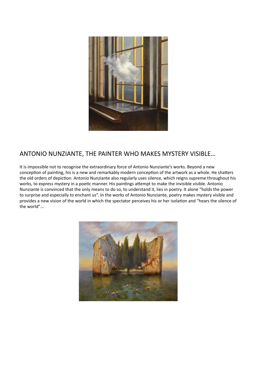

#### ANTONIO NUNZIANTE, THE PAINTER WHO MAKES MYSTERY VISIBLE…

It is impossible not to recognise the extraordinary force of Antonio Nunziante's works. Beyond a new conception of painting, his is a new and remarkably modern conception of the artwork as a whole. He shatters the old orders of depiction. Antonio Nunziante also regularly uses silence, which reigns supreme throughout his works, to express mystery in a poetic manner. His paintings attempt to make the invisible visible. Antonio Nunziante is convinced that the only means to do so, to understand it, lies in poetry. It alone "holds the power to surprise and especially to enchant us". In the works of Antonio Nunziante, poetry makes mystery visible and provides a new vision of the world in which the spectator perceives his or her isolation and "hears the silence of the world"…